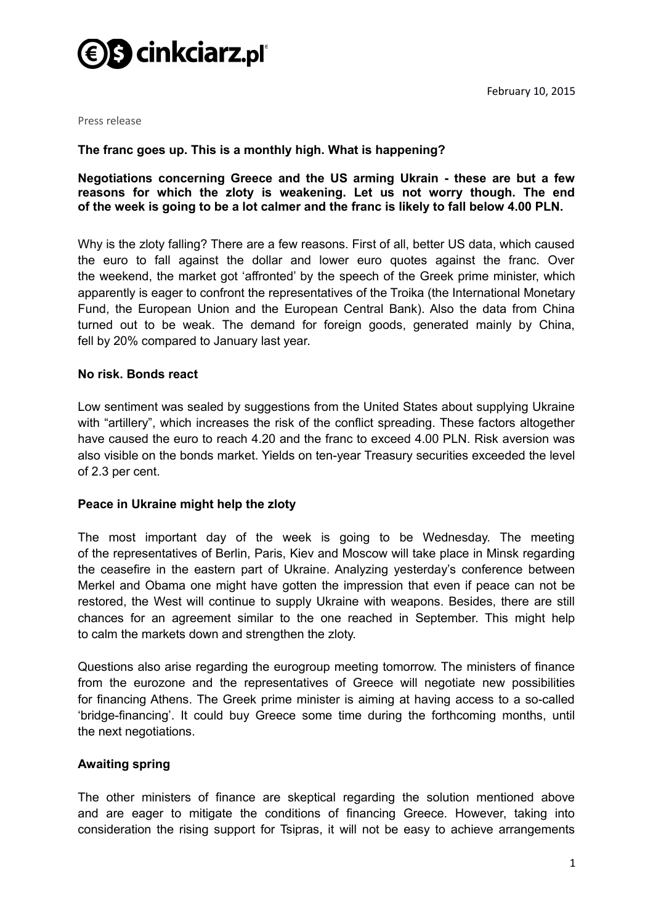

February 10, 2015

Press release

# **The franc goes up. This is a monthly high. What is happening?**

**Negotiations concerning Greece and the US arming Ukrain - these are but a few reasons for which the zloty is weakening. Let us not worry though. The end of the week is going to be a lot calmer and the franc is likely to fall below 4.00 PLN.**

Why is the zloty falling? There are a few reasons. First of all, better US data, which caused the euro to fall against the dollar and lower euro quotes against the franc. Over the weekend, the market got 'affronted' by the speech of the Greek prime minister, which apparently is eager to confront the representatives of the Troika (the International Monetary Fund, the European Union and the European Central Bank). Also the data from China turned out to be weak. The demand for foreign goods, generated mainly by China, fell by 20% compared to January last year.

## **No risk. Bonds react**

Low sentiment was sealed by suggestions from the United States about supplying Ukraine with "artillery", which increases the risk of the conflict spreading. These factors altogether have caused the euro to reach 4.20 and the franc to exceed 4.00 PLN. Risk aversion was also visible on the bonds market. Yields on ten-year Treasury securities exceeded the level of 2.3 per cent.

## **Peace in Ukraine might help the zloty**

The most important day of the week is going to be Wednesday. The meeting of the representatives of Berlin, Paris, Kiev and Moscow will take place in Minsk regarding the ceasefire in the eastern part of Ukraine. Analyzing yesterday's conference between Merkel and Obama one might have gotten the impression that even if peace can not be restored, the West will continue to supply Ukraine with weapons. Besides, there are still chances for an agreement similar to the one reached in September. This might help to calm the markets down and strengthen the zloty.

Questions also arise regarding the eurogroup meeting tomorrow. The ministers of finance from the eurozone and the representatives of Greece will negotiate new possibilities for financing Athens. The Greek prime minister is aiming at having access to a so-called 'bridge-financing'. It could buy Greece some time during the forthcoming months, until the next negotiations.

## **Awaiting spring**

The other ministers of finance are skeptical regarding the solution mentioned above and are eager to mitigate the conditions of financing Greece. However, taking into consideration the rising support for Tsipras, it will not be easy to achieve arrangements